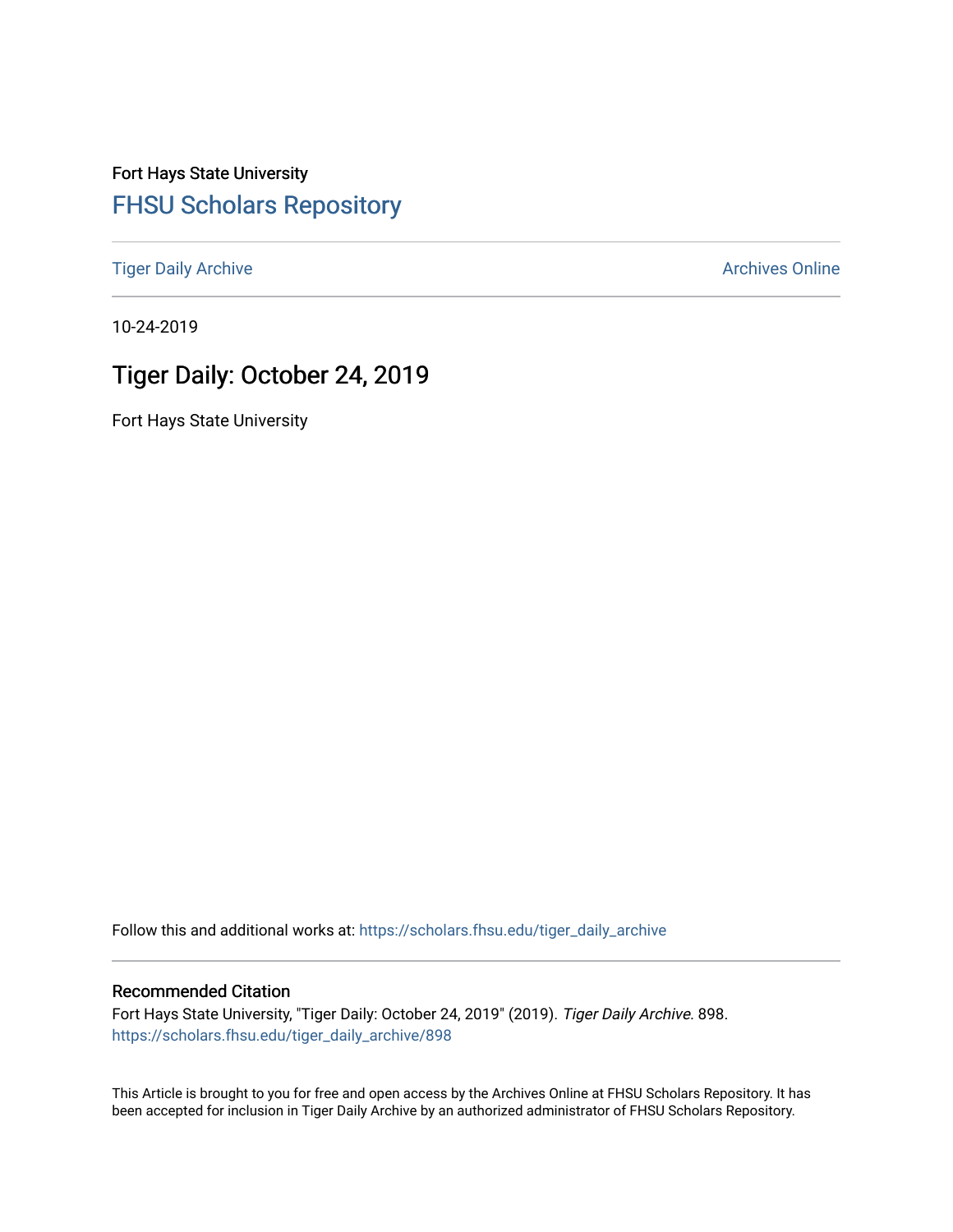Fort Hays State University [FHSU Scholars Repository](https://scholars.fhsu.edu/) 

[Tiger Daily Archive](https://scholars.fhsu.edu/tiger_daily_archive) **Archives** Online Archives Online

10-24-2019

# Tiger Daily: October 24, 2019

Fort Hays State University

Follow this and additional works at: [https://scholars.fhsu.edu/tiger\\_daily\\_archive](https://scholars.fhsu.edu/tiger_daily_archive?utm_source=scholars.fhsu.edu%2Ftiger_daily_archive%2F898&utm_medium=PDF&utm_campaign=PDFCoverPages)

#### Recommended Citation

Fort Hays State University, "Tiger Daily: October 24, 2019" (2019). Tiger Daily Archive. 898. [https://scholars.fhsu.edu/tiger\\_daily\\_archive/898](https://scholars.fhsu.edu/tiger_daily_archive/898?utm_source=scholars.fhsu.edu%2Ftiger_daily_archive%2F898&utm_medium=PDF&utm_campaign=PDFCoverPages)

This Article is brought to you for free and open access by the Archives Online at FHSU Scholars Repository. It has been accepted for inclusion in Tiger Daily Archive by an authorized administrator of FHSU Scholars Repository.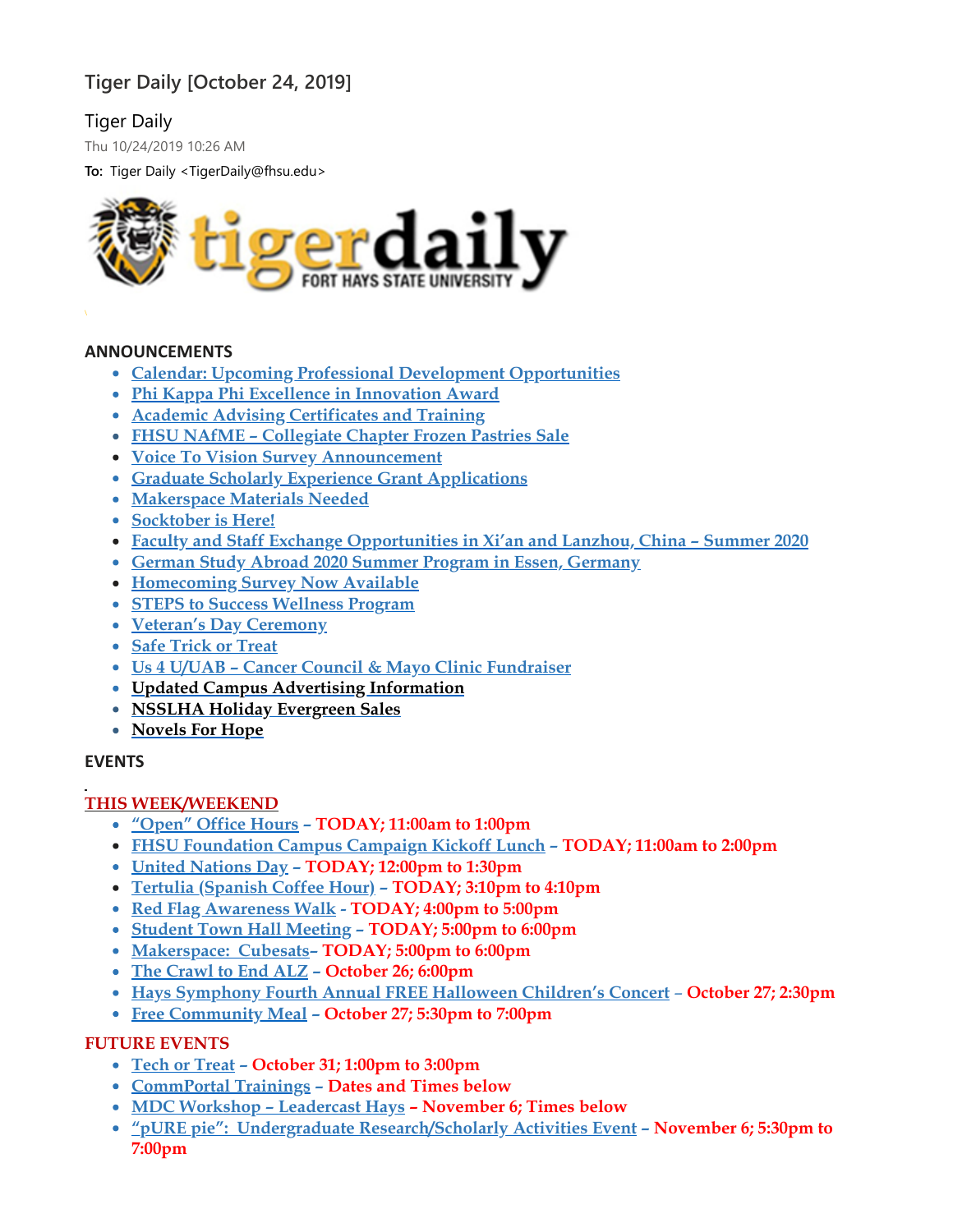## **Tiger Daily [October 24, 2019]**

Tiger Daily

Thu 10/24/2019 10:26 AM

**To:** Tiger Daily <TigerDaily@fhsu.edu>



#### **ANNOUNCEMENTS**

- **Calendar: Upcoming Professional Development [Opportunities](#page-2-0)**
- **Phi Kappa Phi Excellence in [Innovation](#page-2-1) Award**
- **Academic Advising [Certificates](#page-2-2) and Training**
- **FHSU NAfME – [Collegiate](#page-3-0) Chapter Frozen Pastries Sale**
- **Voice To Vision Survey [Announcement](#page-3-1)**
- **Graduate Scholarly Experience Grant [Applications](#page-4-0)**
- **[Makerspace](#page-4-1) Materials Needed**
- **[Socktober](#page-4-2) is Here!**
- **Faculty and Staff Exchange [Opportunities](#page-4-3) in Xi'an and Lanzhou, China – Summer 2020**
- **German Study Abroad 2020 Summer Program in Essen, [Germany](#page-5-0)**
- **[Homecoming](#page-5-1) Survey Now Available**
- **STEPS to Success [Wellness](#page-5-2) Program**
- **Veteran's Day [Ceremony](#page-5-3)**
- **Safe [Trick](#page-5-4) or Treat**
- **Us 4 U/UAB – Cancer Council & Mayo Clinic [Fundraiser](#page-6-0)**
- **Updated Campus Advertising [Information](#page-6-1)**
- **NSSLHA Holiday [Evergreen](#page-6-2) Sales**
- **[Novels](#page-7-0) For Hope**

#### **EVENTS**

#### **THIS WEEK/WEEKEND**

- **["Open"](#page-7-1) Office Hours – TODAY; 11:00am to 1:00pm**
- **FHSU [Foundation](#page-7-2) Campus Campaign Kickoff Lunch – TODAY; 11:00am to 2:00pm**
- **United [Nations](#page-8-0) Day – TODAY; 12:00pm to 1:30pm**
- **Tertulia [\(Spanish](#page-8-1) Coffee Hour) – TODAY; 3:10pm to 4:10pm**
- **Red Flag [Awareness](#page-8-2) Walk - TODAY; 4:00pm to 5:00pm**
- **Student Town Hall [Meeting](#page-8-3) – TODAY; 5:00pm to 6:00pm**
- **[Makerspace:](#page-8-4) Cubesats– TODAY; 5:00pm to 6:00pm**
- **The [Crawl](#page-8-5) to End ALZ – October 26; 6:00pm**
- **Hays [Symphony](#page-9-0) Fourth Annual FREE Halloween Children's Concert October 27; 2:30pm**
- **Free [Community](#page-9-1) Meal – October 27; 5:30pm to 7:00pm**

## **FUTURE EVENTS**

- **Tech or [Treat](#page-9-2) – October 31; 1:00pm to 3:00pm**
- **[CommPortal](#page-10-0) Trainings – Dates and Times below**
- **MDC Workshop – [Leadercast](#page-10-1) Hays – November 6; Times below**
- **"pURE pie": Undergraduate [Research/Scholarly](#page-11-0) Activities Event – November 6; 5:30pm to 7:00pm**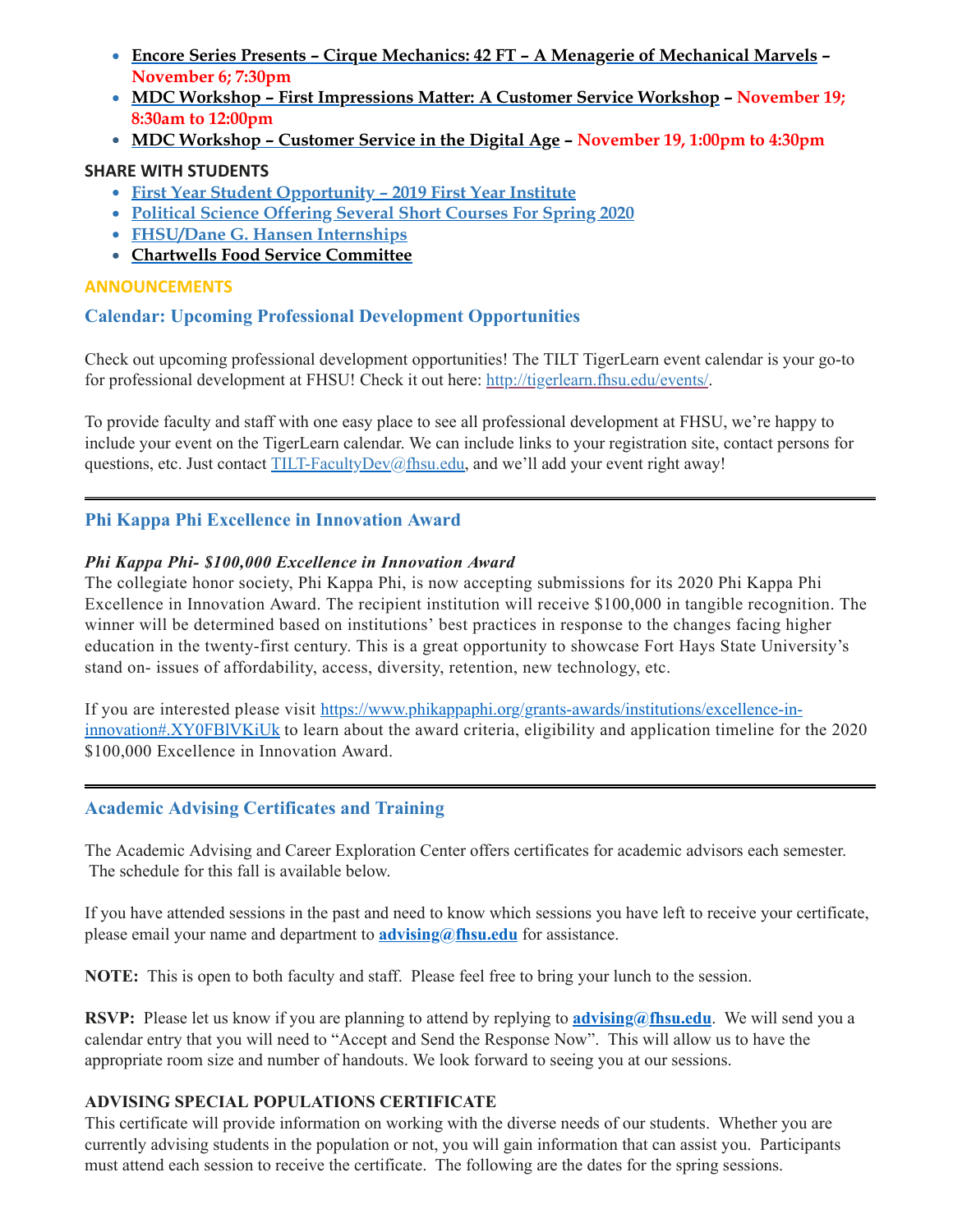- **Encore Series Presents – Cirque Mechanics: 42 FT – A Menagerie of [Mechanical](#page-11-1) Marvels – November 6; 7:30pm**
- **MDC Workshop – First [Impressions](#page-11-2) Matter: A Customer Service Workshop – November 19; 8:30am to 12:00pm**
- **MDC [Workshop](#page-11-2) – Customer Service in the Digital Age – November 19, 1:00pm to 4:30pm**

## **SHARE WITH STUDENTS**

- **First Year Student [Opportunity](#page-12-0) – 2019 First Year Institute**
- **Political Science [Offering](#page-12-1) Several Short Courses For Spring 2020**
- **[FHSU/Dane](#page-13-0) G. Hansen Internships**
- <span id="page-2-0"></span>**Chartwells Food Service [Committee](#page-13-1)**

## **ANNOUNCEMENTS**

## **Calendar: Upcoming Professional Development Opportunities**

Check out upcoming professional development opportunities! The TILT TigerLearn event calendar is your go-to for professional development at FHSU! Check it out here: [http://tigerlearn.fhsu.edu/events/.](http://tigerlearn.fhsu.edu/events/)

To provide faculty and staff with one easy place to see all professional development at FHSU, we're happy to include your event on the TigerLearn calendar. We can include links to your registration site, contact persons for questions, etc. Just contact [TILT-FacultyDev@fhsu.edu,](mailto:TILT-FacultyDev@fhsu.edu) and we'll add your event right away!

## <span id="page-2-1"></span>**Phi Kappa Phi Excellence in Innovation Award**

## *Phi Kappa Phi- \$100,000 Excellence in Innovation Award*

The collegiate honor society, Phi Kappa Phi, is now accepting submissions for its 2020 Phi Kappa Phi Excellence in Innovation Award. The recipient institution will receive \$100,000 in tangible recognition. The winner will be determined based on institutions' best practices in response to the changes facing higher education in the twenty-first century. This is a great opportunity to showcase Fort Hays State University's stand on- issues of affordability, access, diversity, retention, new technology, etc.

If you are interested please visit [https://www.phikappaphi.org/grants-awards/institutions/excellence-in](https://www.phikappaphi.org/grants-awards/institutions/excellence-in-innovation#.XY0FBlVKiUk)innovation#.XY0FBlVKiUk to learn about the award criteria, eligibility and application timeline for the 2020 \$100,000 Excellence in Innovation Award.

## <span id="page-2-2"></span>**Academic Advising Certificates and Training**

The Academic Advising and Career Exploration Center offers certificates for academic advisors each semester. The schedule for this fall is available below.

If you have attended sessions in the past and need to know which sessions you have left to receive your certificate, please email your name and department to **[advising@fhsu.edu](mailto:advising@fhsu.edu)** for assistance.

**NOTE:** This is open to both faculty and staff. Please feel free to bring your lunch to the session.

**RSVP:** Please let us know if you are planning to attend by replying to **[advising@fhsu.edu](mailto:advising@fhsu.edu)**. We will send you a calendar entry that you will need to "Accept and Send the Response Now". This will allow us to have the appropriate room size and number of handouts. We look forward to seeing you at our sessions.

#### **ADVISING SPECIAL POPULATIONS CERTIFICATE**

This certificate will provide information on working with the diverse needs of our students. Whether you are currently advising students in the population or not, you will gain information that can assist you. Participants must attend each session to receive the certificate. The following are the dates for the spring sessions.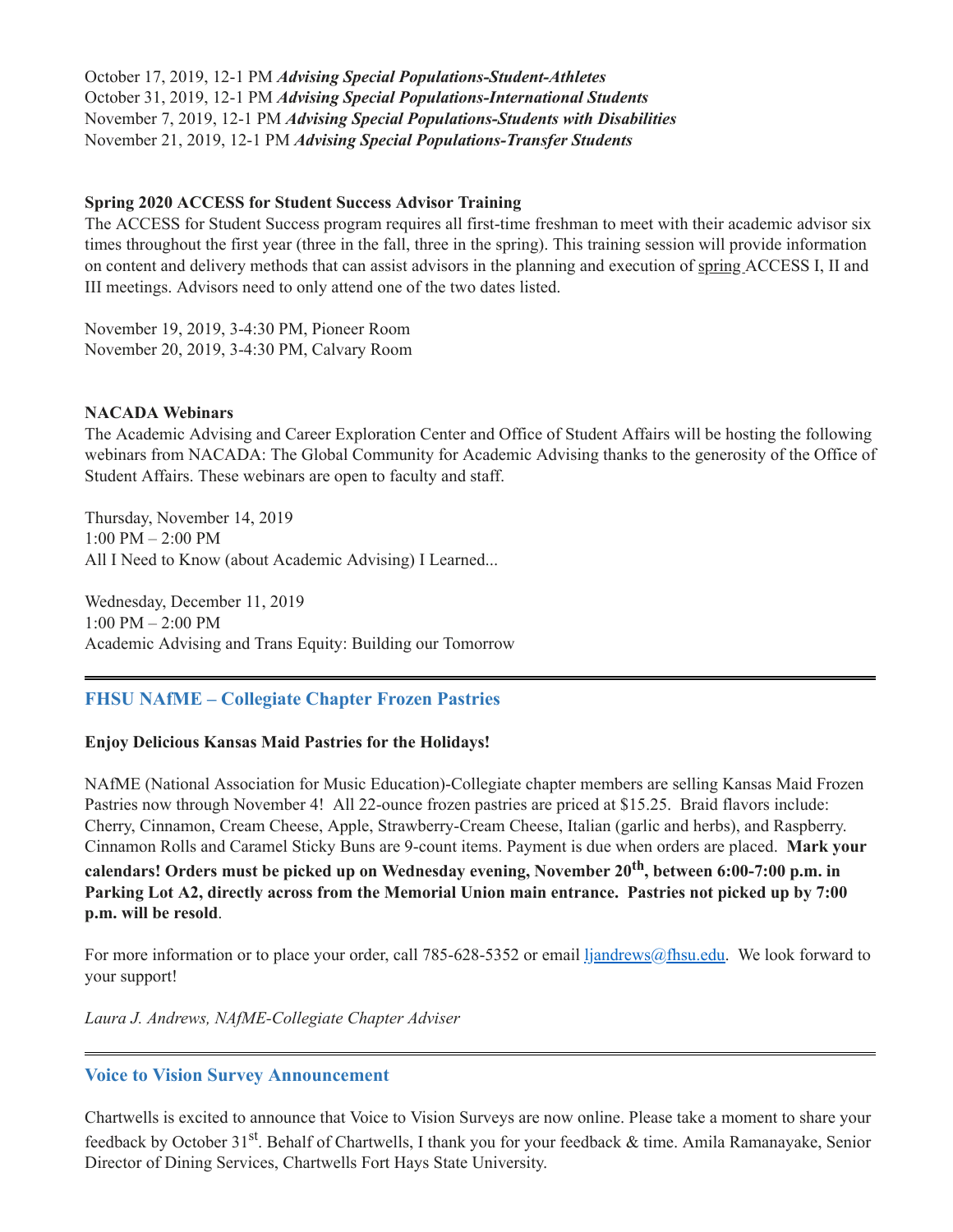October 17, 2019, 12-1 PM *Advising Special Populations-Student-Athletes* October 31, 2019, 12-1 PM *Advising Special Populations-International Students* November 7, 2019, 12-1 PM *Advising Special Populations-Students with Disabilities* November 21, 2019, 12-1 PM *Advising Special Populations-Transfer Students*

#### **Spring 2020 ACCESS for Student Success Advisor Training**

The ACCESS for Student Success program requires all first-time freshman to meet with their academic advisor six times throughout the first year (three in the fall, three in the spring). This training session will provide information on content and delivery methods that can assist advisors in the planning and execution of spring ACCESS I, II and III meetings. Advisors need to only attend one of the two dates listed.

November 19, 2019, 3-4:30 PM, Pioneer Room November 20, 2019, 3-4:30 PM, Calvary Room

#### **NACADA Webinars**

The Academic Advising and Career Exploration Center and Office of Student Affairs will be hosting the following webinars from NACADA: The Global Community for Academic Advising thanks to the generosity of the Office of Student Affairs. These webinars are open to faculty and staff.

Thursday, November 14, 2019 1:00 PM – 2:00 PM All I Need to Know (about Academic Advising) I Learned...

Wednesday, December 11, 2019 1:00 PM – 2:00 PM Academic Advising and Trans Equity: Building our Tomorrow

#### <span id="page-3-0"></span>**FHSU NAfME – Collegiate Chapter Frozen Pastries**

#### **Enjoy Delicious Kansas Maid Pastries for the Holidays!**

NAfME (National Association for Music Education)-Collegiate chapter members are selling Kansas Maid Frozen Pastries now through November 4! All 22-ounce frozen pastries are priced at \$15.25. Braid flavors include: Cherry, Cinnamon, Cream Cheese, Apple, Strawberry-Cream Cheese, Italian (garlic and herbs), and Raspberry. Cinnamon Rolls and Caramel Sticky Buns are 9-count items. Payment is due when orders are placed. **Mark your calendars! Orders must be picked up on Wednesday evening, November 20 th , between 6:00-7:00 p.m. in**

**Parking Lot A2, directly across from the Memorial Union main entrance. Pastries not picked up by 7:00 p.m. will be resold**.

For more information or to place your order, call 785-628-5352 or email [ljandrews@fhsu.edu.](mailto:ljandrews@fhsu.edu) We look forward to your support!

*Laura J. Andrews, NAfME-Collegiate Chapter Adviser*

#### <span id="page-3-1"></span>**Voice to Vision Survey Announcement**

Chartwells is excited to announce that Voice to Vision Surveys are now online. Please take a moment to share your feedback by October 31<sup>st</sup>. Behalf of Chartwells, I thank you for your feedback & time. Amila Ramanayake, Senior Director of Dining Services, Chartwells Fort Hays State University.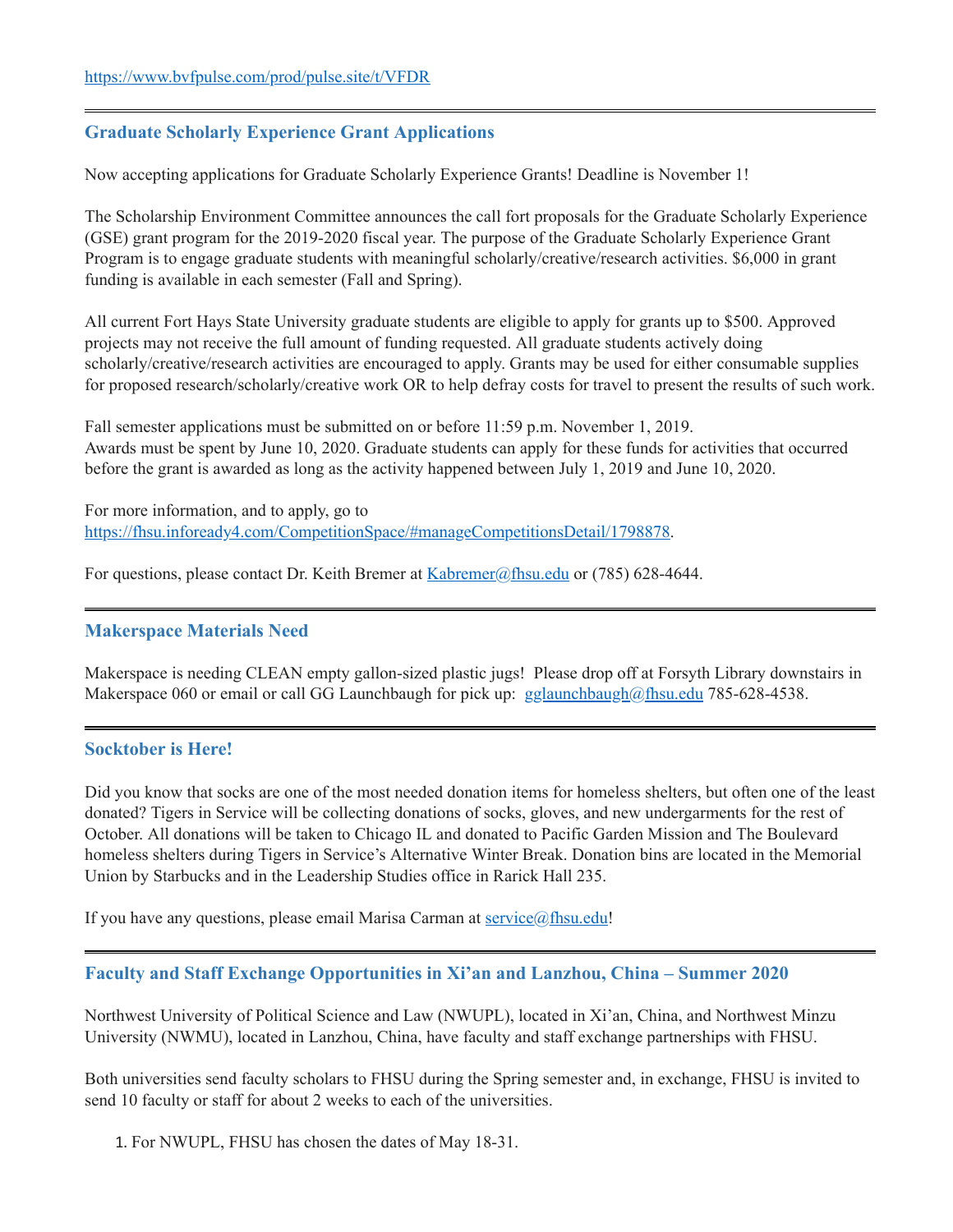## <span id="page-4-0"></span>**Graduate Scholarly Experience Grant Applications**

Now accepting applications for Graduate Scholarly Experience Grants! Deadline is November 1!

The Scholarship Environment Committee announces the call fort proposals for the Graduate Scholarly Experience (GSE) grant program for the 2019-2020 fiscal year. The purpose of the Graduate Scholarly Experience Grant Program is to engage graduate students with meaningful scholarly/creative/research activities. \$6,000 in grant funding is available in each semester (Fall and Spring).

All current Fort Hays State University graduate students are eligible to apply for grants up to \$500. Approved projects may not receive the full amount of funding requested. All graduate students actively doing scholarly/creative/research activities are encouraged to apply. Grants may be used for either consumable supplies for proposed research/scholarly/creative work OR to help defray costs for travel to present the results of such work.

Fall semester applications must be submitted on or before 11:59 p.m. November 1, 2019. Awards must be spent by June 10, 2020. Graduate students can apply for these funds for activities that occurred before the grant is awarded as long as the activity happened between July 1, 2019 and June 10, 2020.

For more information, and to apply, go to [https://fhsu.infoready4.com/CompetitionSpace/#manageCompetitionsDetail/1798878.](https://fhsu.infoready4.com/CompetitionSpace/#manageCompetitionsDetail/1798878)

For questions, please contact Dr. Keith Bremer at [Kabremer@fhsu.edu](mailto:Kabremer@fhsu.edu) or (785) 628-4644.

#### <span id="page-4-1"></span>**Makerspace Materials Need**

Makerspace is needing CLEAN empty gallon-sized plastic jugs! Please drop off at Forsyth Library downstairs in Makerspace 060 or email or call GG Launchbaugh for pick up:  $g$ glaunchbaugh@fhsu.edu 785-628-4538.

#### <span id="page-4-2"></span>**Socktober is Here!**

Did you know that socks are one of the most needed donation items for homeless shelters, but often one of the least donated? Tigers in Service will be collecting donations of socks, gloves, and new undergarments for the rest of October. All donations will be taken to Chicago IL and donated to Pacific Garden Mission and The Boulevard homeless shelters during Tigers in Service's Alternative Winter Break. Donation bins are located in the Memorial Union by Starbucks and in the Leadership Studies office in Rarick Hall 235.

If you have any questions, please email Marisa Carman at  $\frac{\text{service}(a,\text{fhsu.edu})}{\text{SUSU}}$ 

<span id="page-4-3"></span>**Faculty and Staff Exchange Opportunities in Xi'an and Lanzhou, China – Summer 2020**

Northwest University of Political Science and Law (NWUPL), located in Xi'an, China, and Northwest Minzu University (NWMU), located in Lanzhou, China, have faculty and staff exchange partnerships with FHSU.

Both universities send faculty scholars to FHSU during the Spring semester and, in exchange, FHSU is invited to send 10 faculty or staff for about 2 weeks to each of the universities.

1. For NWUPL, FHSU has chosen the dates of May 18-31.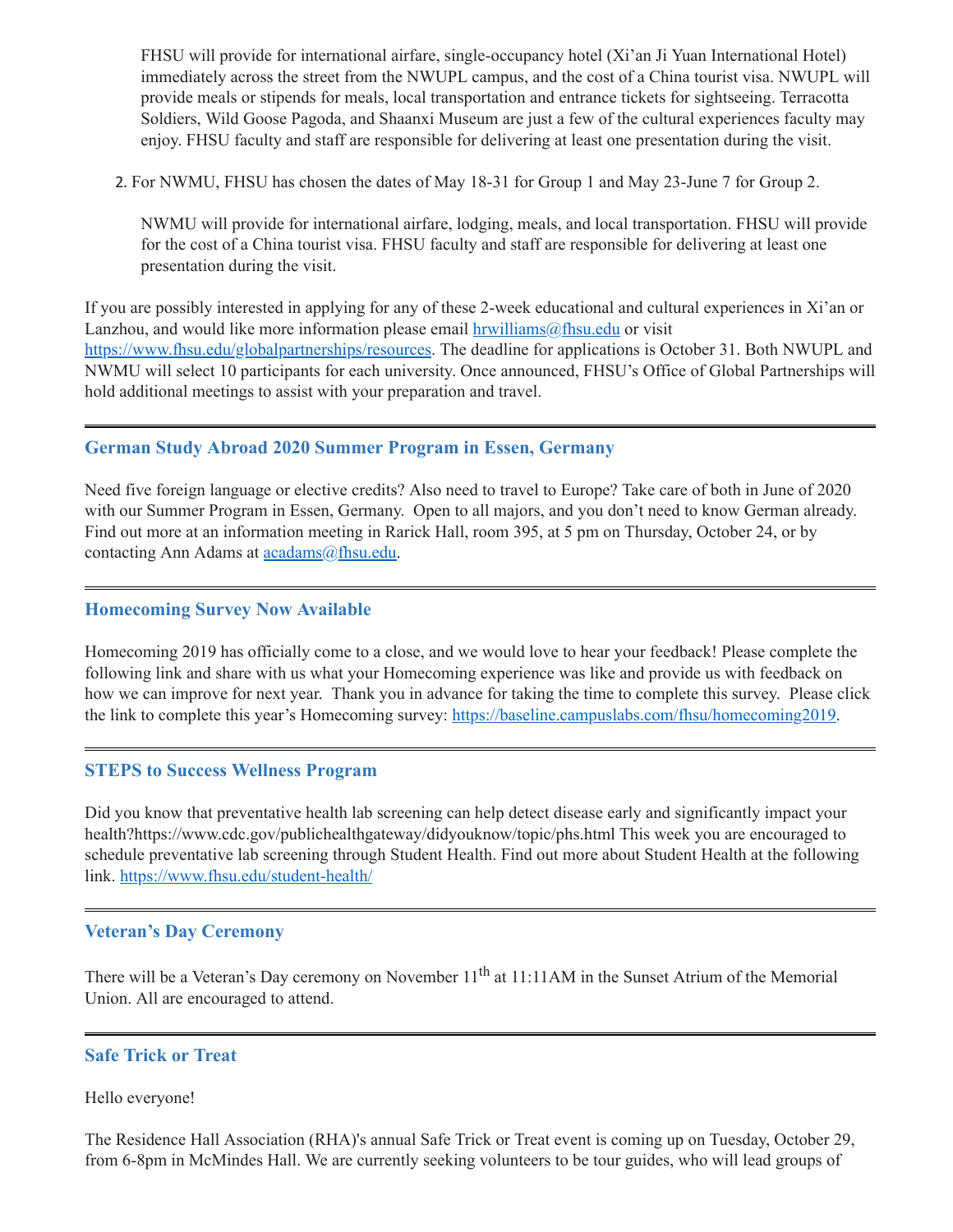FHSU will provide for international airfare, single-occupancy hotel (Xi'an Ji Yuan International Hotel) immediately across the street from the NWUPL campus, and the cost of a China tourist visa. NWUPL will provide meals or stipends for meals, local transportation and entrance tickets for sightseeing. Terracotta Soldiers, Wild Goose Pagoda, and Shaanxi Museum are just a few of the cultural experiences faculty may enjoy. FHSU faculty and staff are responsible for delivering at least one presentation during the visit.

2. For NWMU, FHSU has chosen the dates of May 18-31 for Group 1 and May 23-June 7 for Group 2.

NWMU will provide for international airfare, lodging, meals, and local transportation. FHSU will provide for the cost of a China tourist visa. FHSU faculty and staff are responsible for delivering at least one presentation during the visit.

If you are possibly interested in applying for any of these 2-week educational and cultural experiences in Xi'an or Lanzhou, and would like more information please email  $h$ rwilliams $@f$ hsu.edu or visit <https://www.fhsu.edu/globalpartnerships/resources>. The deadline for applications is October 31. Both NWUPL and NWMU will select 10 participants for each university. Once announced, FHSU's Office of Global Partnerships will hold additional meetings to assist with your preparation and travel.

#### <span id="page-5-0"></span>**German Study Abroad 2020 Summer Program in Essen, Germany**

Need five foreign language or elective credits? Also need to travel to Europe? Take care of both in June of 2020 with our Summer Program in Essen, Germany. Open to all majors, and you don't need to know German already. Find out more at an information meeting in Rarick Hall, room 395, at 5 pm on Thursday, October 24, or by contacting Ann Adams at **acadams**@fhsu.edu.

#### <span id="page-5-1"></span>**Homecoming Survey Now Available**

Homecoming 2019 has officially come to a close, and we would love to hear your feedback! Please complete the following link and share with us what your Homecoming experience was like and provide us with feedback on how we can improve for next year. Thank you in advance for taking the time to complete this survey. Please click the link to complete this year's Homecoming survey: [https://baseline.campuslabs.com/fhsu/homecoming2019.](https://baseline.campuslabs.com/fhsu/homecoming2019)

#### <span id="page-5-2"></span>**STEPS to Success Wellness Program**

Did you know that preventative health lab screening can help detect disease early and significantly impact your health?https://www.cdc.gov/publichealthgateway/didyouknow/topic/phs.html This week you are encouraged to schedule preventative lab screening through Student Health. Find out more about Student Health at the following link. <https://www.fhsu.edu/student-health/>

#### <span id="page-5-3"></span>**Veteran's Day Ceremony**

There will be a Veteran's Day ceremony on November  $11^{th}$  at  $11:11AM$  in the Sunset Atrium of the Memorial Union. All are encouraged to attend.

#### <span id="page-5-4"></span>**Safe Trick or Treat**

Hello everyone!

The Residence Hall Association (RHA)'s annual Safe Trick or Treat event is coming up on Tuesday, October 29, from 6-8pm in McMindes Hall. We are currently seeking volunteers to be tour guides, who will lead groups of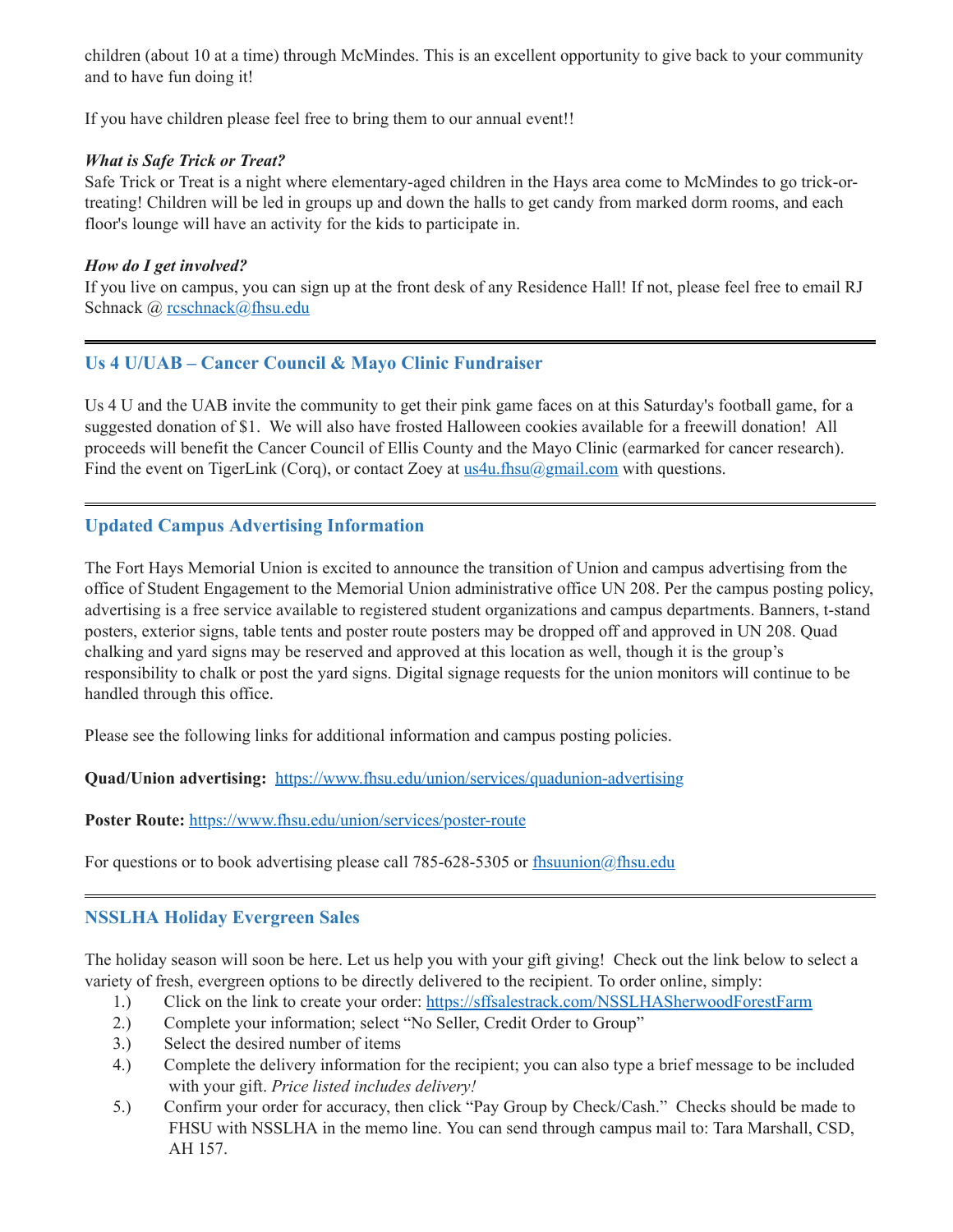children (about 10 at a time) through McMindes. This is an excellent opportunity to give back to your community and to have fun doing it!

If you have children please feel free to bring them to our annual event!!

#### *What is Safe Trick or Treat?*

Safe Trick or Treat is a night where elementary-aged children in the Hays area come to McMindes to go trick-ortreating! Children will be led in groups up and down the halls to get candy from marked dorm rooms, and each floor's lounge will have an activity for the kids to participate in.

#### *How do I get involved?*

If you live on campus, you can sign up at the front desk of any Residence Hall! If not, please feel free to email RJ Schnack @ [rcschnack@fhsu.edu](mailto:rcschnack@fhsu.edu)

## <span id="page-6-0"></span>**Us 4 U/UAB – Cancer Council & Mayo Clinic Fundraiser**

Us 4 U and the UAB invite the community to get their pink game faces on at this Saturday's football game, for a suggested donation of \$1. We will also have frosted Halloween cookies available for a freewill donation! All proceeds will benefit the Cancer Council of Ellis County and the Mayo Clinic (earmarked for cancer research). Find the event on TigerLink (Corq), or contact Zoey at  $u$ s  $4u$ . fhsu $(a)$  gmail.com with questions.

## <span id="page-6-1"></span>**Updated Campus Advertising Information**

The Fort Hays Memorial Union is excited to announce the transition of Union and campus advertising from the office of Student Engagement to the Memorial Union administrative office UN 208. Per the campus posting policy, advertising is a free service available to registered student organizations and campus departments. Banners, t-stand posters, exterior signs, table tents and poster route posters may be dropped off and approved in UN 208. Quad chalking and yard signs may be reserved and approved at this location as well, though it is the group's responsibility to chalk or post the yard signs. Digital signage requests for the union monitors will continue to be handled through this office.

Please see the following links for additional information and campus posting policies.

**Quad/Union advertising:** <https://www.fhsu.edu/union/services/quadunion-advertising>

#### **Poster Route:** <https://www.fhsu.edu/union/services/poster-route>

For questions or to book advertising please call 785-628-5305 or [fhsuunion@fhsu.edu](mailto:fhsuunion@fhsu.edu)

#### <span id="page-6-2"></span>**NSSLHA Holiday Evergreen Sales**

The holiday season will soon be here. Let us help you with your gift giving! Check out the link below to select a variety of fresh, evergreen options to be directly delivered to the recipient. To order online, simply:

- 1.) Click on the link to create your order: <https://sffsalestrack.com/NSSLHASherwoodForestFarm>
- 2.) Complete your information; select "No Seller, Credit Order to Group"
- 3.) Select the desired number of items
- 4.) Complete the delivery information for the recipient; you can also type a brief message to be included with your gift. *Price listed includes delivery!*
- 5.) Confirm your order for accuracy, then click "Pay Group by Check/Cash." Checks should be made to FHSU with NSSLHA in the memo line. You can send through campus mail to: Tara Marshall, CSD, AH 157.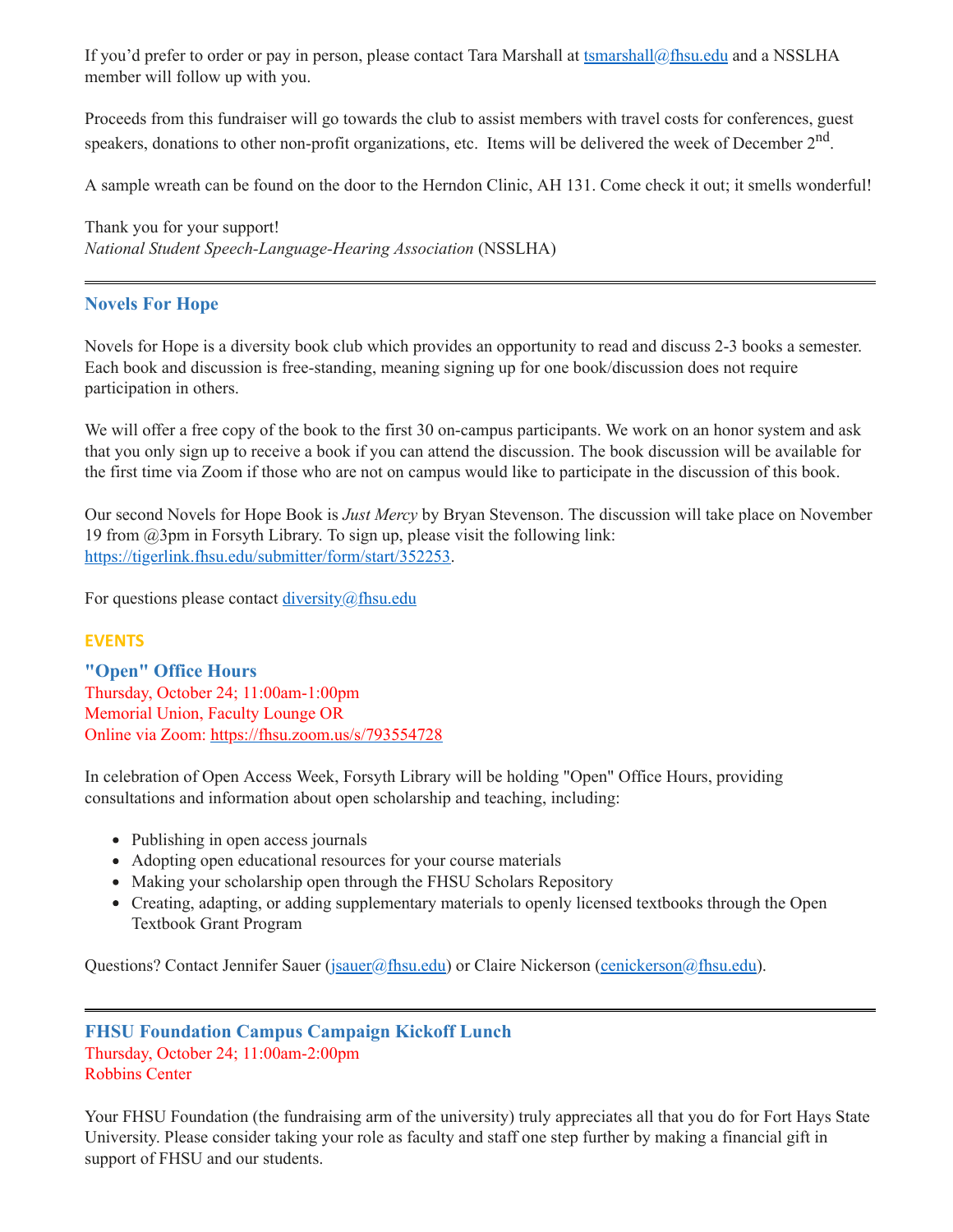If you'd prefer to order or pay in person, please contact Tara Marshall at [tsmarshall@fhsu.edu](mailto:tsmarshall@fhsu.edu) and a NSSLHA member will follow up with you.

Proceeds from this fundraiser will go towards the club to assist members with travel costs for conferences, guest speakers, donations to other non-profit organizations, etc. Items will be delivered the week of December  $2<sup>nd</sup>$ .

A sample wreath can be found on the door to the Herndon Clinic, AH 131. Come check it out; it smells wonderful!

Thank you for your support! *National Student Speech-Language-Hearing Association* (NSSLHA)

## <span id="page-7-0"></span>**Novels For Hope**

Novels for Hope is a diversity book club which provides an opportunity to read and discuss 2-3 books a semester. Each book and discussion is free-standing, meaning signing up for one book/discussion does not require participation in others.

We will offer a free copy of the book to the first 30 on-campus participants. We work on an honor system and ask that you only sign up to receive a book if you can attend the discussion. The book discussion will be available for the first time via Zoom if those who are not on campus would like to participate in the discussion of this book.

Our second Novels for Hope Book is *Just Mercy* by Bryan Stevenson. The discussion will take place on November 19 from @3pm in Forsyth Library. To sign up, please visit the following link: [https://tigerlink.fhsu.edu/submitter/form/start/352253.](https://tigerlink.fhsu.edu/submitter/form/start/352253)

For questions please contact [diversity@fhsu.edu](mailto:diversity@fhsu.edu)

#### **EVENTS**

<span id="page-7-1"></span>**"Open" Office Hours** Thursday, October 24; 11:00am-1:00pm Memorial Union, Faculty Lounge OR Online via Zoom: <https://fhsu.zoom.us/s/793554728>

In celebration of Open Access Week, Forsyth Library will be holding "Open" Office Hours, providing consultations and information about open scholarship and teaching, including:

- Publishing in open access journals
- Adopting open educational resources for your course materials
- Making your scholarship open through the FHSU Scholars Repository
- Creating, adapting, or adding supplementary materials to openly licensed textbooks through the Open Textbook Grant Program

Questions? Contact Jennifer Sauer ([jsauer@fhsu.edu](mailto:jsauer@fhsu.edu)) or Claire Nickerson [\(cenickerson@fhsu.edu\)](mailto:cenickerson@fhsu.edu).

#### <span id="page-7-2"></span>**FHSU Foundation Campus Campaign Kickoff Lunch** Thursday, October 24; 11:00am-2:00pm Robbins Center

Your FHSU Foundation (the fundraising arm of the university) truly appreciates all that you do for Fort Hays State University. Please consider taking your role as faculty and staff one step further by making a financial gift in support of FHSU and our students.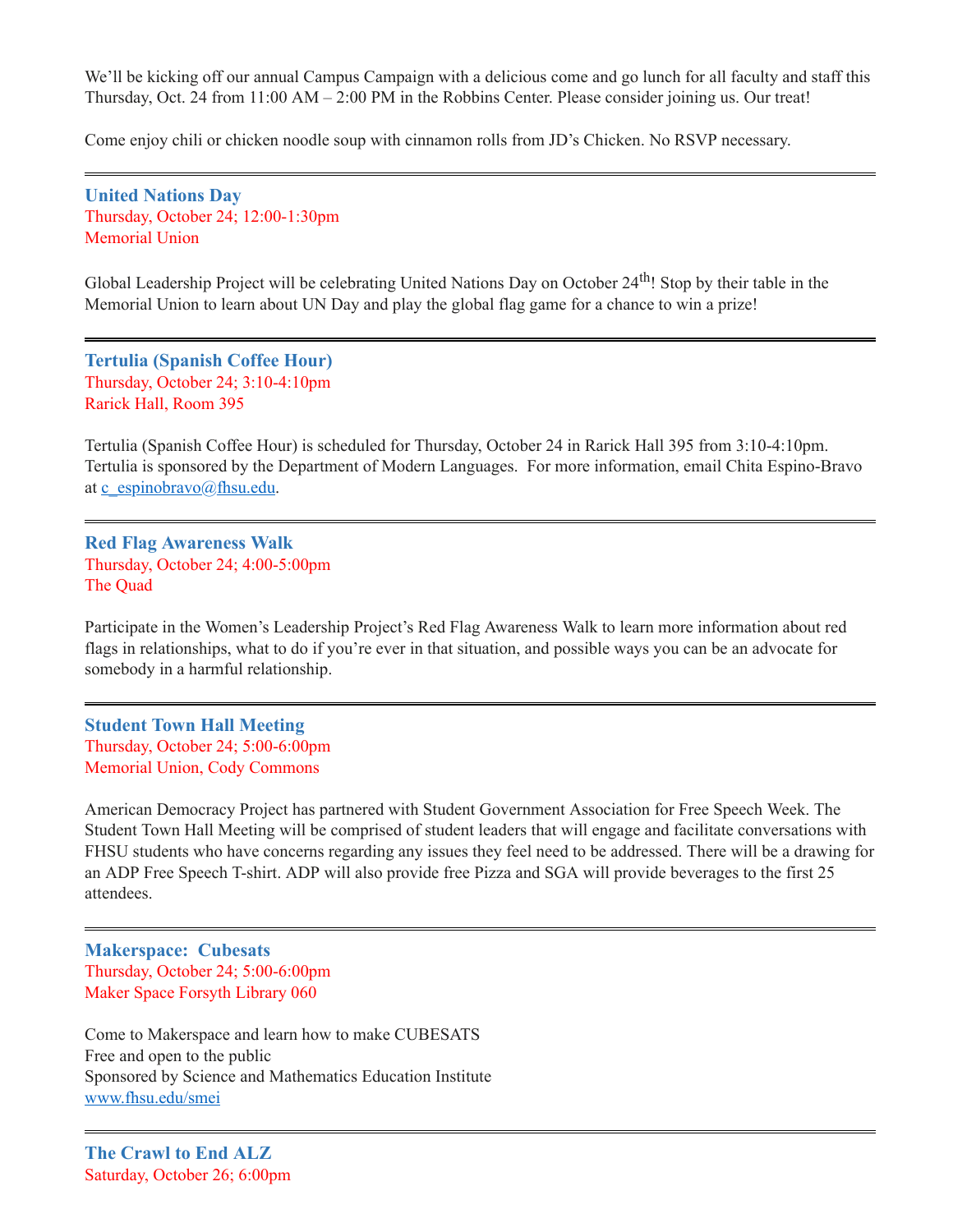We'll be kicking off our annual Campus Campaign with a delicious come and go lunch for all faculty and staff this Thursday, Oct. 24 from 11:00 AM – 2:00 PM in the Robbins Center. Please consider joining us. Our treat!

Come enjoy chili or chicken noodle soup with cinnamon rolls from JD's Chicken. No RSVP necessary.

<span id="page-8-0"></span>**United Nations Day** Thursday, October 24; 12:00-1:30pm Memorial Union

Global Leadership Project will be celebrating United Nations Day on October 24<sup>th</sup>! Stop by their table in the Memorial Union to learn about UN Day and play the global flag game for a chance to win a prize!

<span id="page-8-1"></span>**Tertulia (Spanish Coffee Hour)** Thursday, October 24; 3:10-4:10pm Rarick Hall, Room 395

Tertulia (Spanish Coffee Hour) is scheduled for Thursday, October 24 in Rarick Hall 395 from 3:10-4:10pm. Tertulia is sponsored by the Department of Modern Languages. For more information, email Chita Espino-Bravo at [c\\_espinobravo@fhsu.edu.](mailto:c_espinobravo@fhsu.edu)

<span id="page-8-2"></span>**Red Flag Awareness Walk** Thursday, October 24; 4:00-5:00pm The Quad

Participate in the Women's Leadership Project's Red Flag Awareness Walk to learn more information about red flags in relationships, what to do if you're ever in that situation, and possible ways you can be an advocate for somebody in a harmful relationship.

<span id="page-8-3"></span>**Student Town Hall Meeting** Thursday, October 24; 5:00-6:00pm Memorial Union, Cody Commons

American Democracy Project has partnered with Student Government Association for Free Speech Week. The Student Town Hall Meeting will be comprised of student leaders that will engage and facilitate conversations with FHSU students who have concerns regarding any issues they feel need to be addressed. There will be a drawing for an ADP Free Speech T-shirt. ADP will also provide free Pizza and SGA will provide beverages to the first 25 attendees.

<span id="page-8-4"></span>**Makerspace: Cubesats** Thursday, October 24; 5:00-6:00pm Maker Space Forsyth Library 060

Come to Makerspace and learn how to make CUBESATS Free and open to the public Sponsored by Science and Mathematics Education Institute [www.fhsu.edu/smei](http://www.fhsu.edu/smei)

<span id="page-8-5"></span>**The Crawl to End ALZ** Saturday, October 26; 6:00pm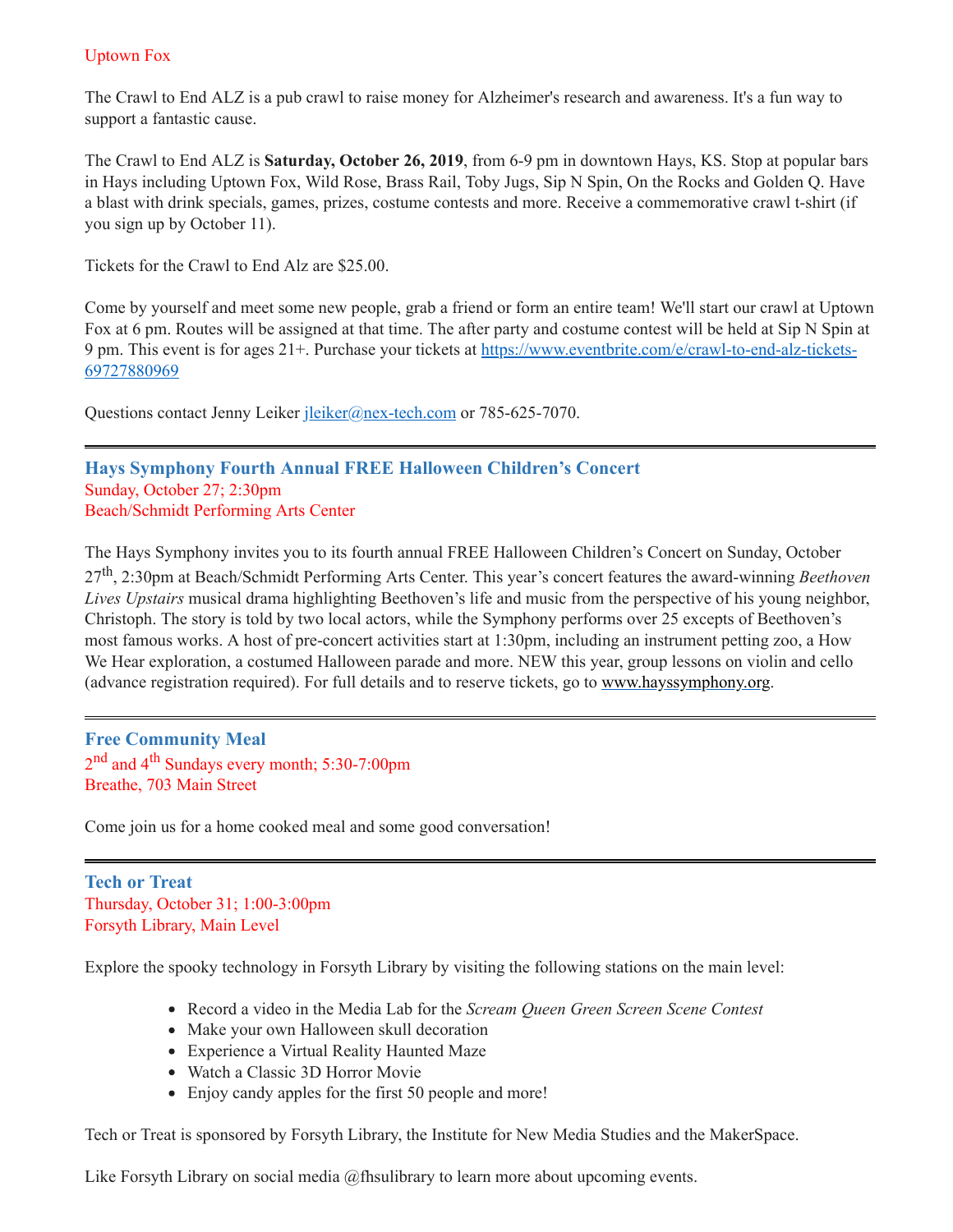## Uptown Fox

The Crawl to End ALZ is a pub crawl to raise money for Alzheimer's research and awareness. It's a fun way to support a fantastic cause.

The Crawl to End ALZ is **Saturday, October 26, 2019**, from 6-9 pm in downtown Hays, KS. Stop at popular bars in Hays including Uptown Fox, Wild Rose, Brass Rail, Toby Jugs, Sip N Spin, On the Rocks and Golden Q. Have a blast with drink specials, games, prizes, costume contests and more. Receive a commemorative crawl t-shirt (if you sign up by October 11).

Tickets for the Crawl to End Alz are \$25.00.

Come by yourself and meet some new people, grab a friend or form an entire team! We'll start our crawl at Uptown Fox at 6 pm. Routes will be assigned at that time. The after party and costume contest will be held at Sip N Spin at 9 pm. This event is for ages 21+. Purchase your tickets at [https://www.eventbrite.com/e/crawl-to-end-alz-tickets-](https://www.eventbrite.com/e/crawl-to-end-alz-tickets-69727880969)69727880969

Questions contact Jenny Leiker [jleiker@nex-tech.com](mailto:jleiker@nex-tech.com) or 785-625-7070.

<span id="page-9-0"></span>**Hays Symphony Fourth Annual FREE Halloween Children's Concert** Sunday, October 27; 2:30pm Beach/Schmidt Performing Arts Center

The Hays Symphony invites you to its fourth annual FREE Halloween Children's Concert on Sunday, October 27 th , 2:30pm at Beach/Schmidt Performing Arts Center. This year's concert features the award-winning *Beethoven Lives Upstairs* musical drama highlighting Beethoven's life and music from the perspective of his young neighbor, Christoph. The story is told by two local actors, while the Symphony performs over 25 excepts of Beethoven's most famous works. A host of pre-concert activities start at 1:30pm, including an instrument petting zoo, a How We Hear exploration, a costumed Halloween parade and more. NEW this year, group lessons on violin and cello (advance registration required). For full details and to reserve tickets, go to [www.hayssymphony.org.](http://www.hayssymphony.org/)

<span id="page-9-1"></span>**Free Community Meal** 2<sup>nd</sup> and 4<sup>th</sup> Sundays every month; 5:30-7:00pm Breathe, 703 Main Street

Come join us for a home cooked meal and some good conversation!

<span id="page-9-2"></span>**Tech or Treat** Thursday, October 31; 1:00-3:00pm Forsyth Library, Main Level

Explore the spooky technology in Forsyth Library by visiting the following stations on the main level:

- Record a video in the Media Lab for the *Scream Queen Green Screen Scene Contest*
- Make your own Halloween skull decoration
- Experience a Virtual Reality Haunted Maze
- Watch a Classic 3D Horror Movie
- Enjoy candy apples for the first 50 people and more!

Tech or Treat is sponsored by Forsyth Library, the Institute for New Media Studies and the MakerSpace.

Like Forsyth Library on social media @fhsulibrary to learn more about upcoming events.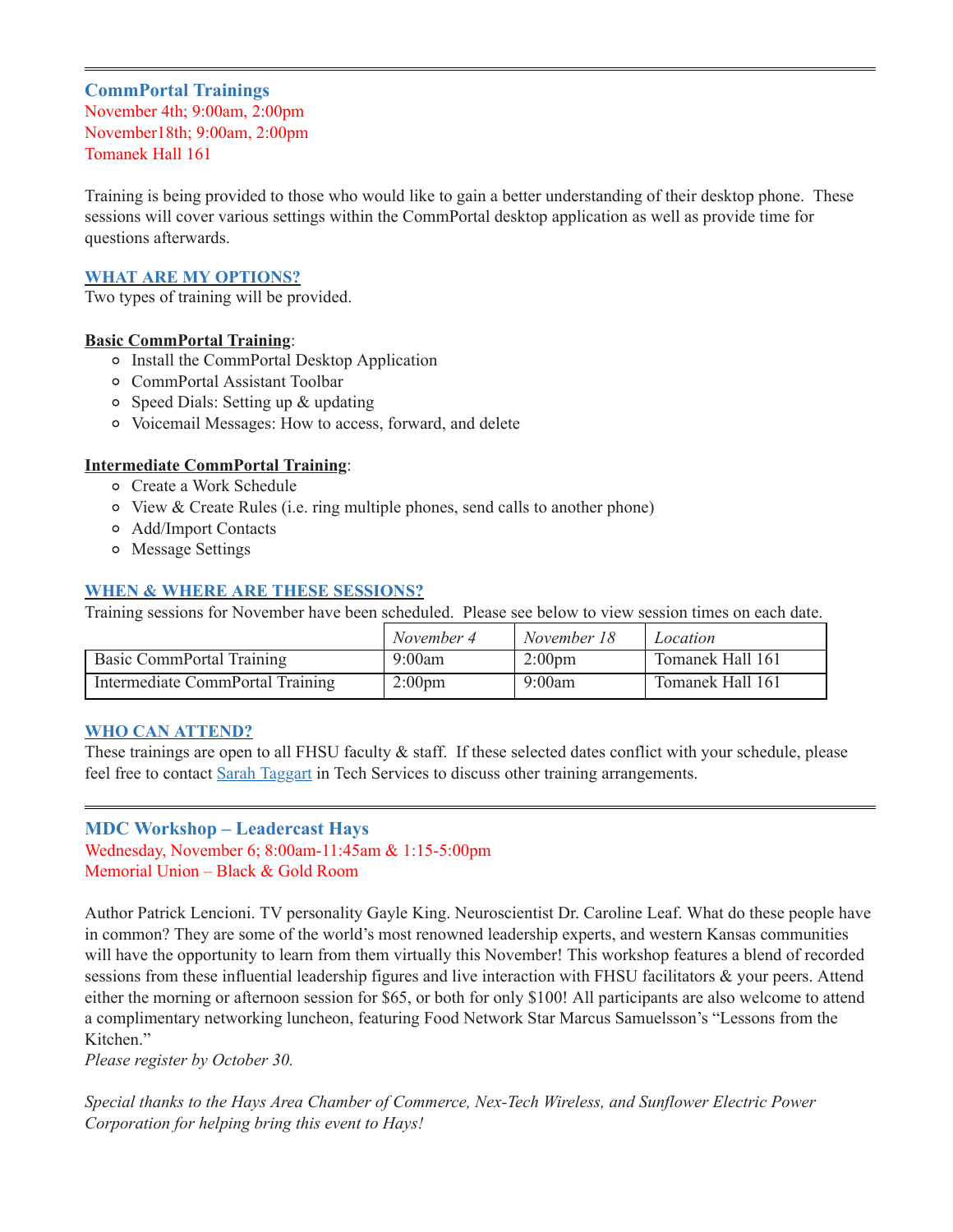## <span id="page-10-0"></span>**CommPortal Trainings**

November 4th; 9:00am, 2:00pm November18th; 9:00am, 2:00pm Tomanek Hall 161

Training is being provided to those who would like to gain a better understanding of their desktop phone. These sessions will cover various settings within the CommPortal desktop application as well as provide time for questions afterwards.

#### **WHAT ARE MY OPTIONS?**

Two types of training will be provided.

#### **Basic CommPortal Training**:

- Install the CommPortal Desktop Application
- CommPortal Assistant Toolbar
- Speed Dials: Setting up & updating
- Voicemail Messages: How to access, forward, and delete

#### **Intermediate CommPortal Training**:

- Create a Work Schedule
- View & Create Rules (i.e. ring multiple phones, send calls to another phone)
- Add/Import Contacts
- Message Settings

#### **WHEN & WHERE ARE THESE SESSIONS?**

Training sessions for November have been scheduled. Please see below to view session times on each date.

|                                  | November 4         | November 18      | Location         |
|----------------------------------|--------------------|------------------|------------------|
| Basic CommPortal Training        | 9:00am             | $2:00 \text{pm}$ | Tomanek Hall 161 |
| Intermediate CommPortal Training | 2:00 <sub>pm</sub> | 9:00am           | Tomanek Hall 161 |

#### **WHO CAN ATTEND?**

These trainings are open to all FHSU faculty & staff. If these selected dates conflict with your schedule, please feel free to contact Sarah [Taggart](https://fhsu.edu/technology/training) in Tech Services to discuss other training arrangements.

#### <span id="page-10-1"></span>**MDC Workshop – Leadercast Hays**

Wednesday, November 6; 8:00am-11:45am & 1:15-5:00pm Memorial Union – Black & Gold Room

Author Patrick Lencioni. TV personality Gayle King. Neuroscientist Dr. Caroline Leaf. What do these people have in common? They are some of the world's most renowned leadership experts, and western Kansas communities will have the opportunity to learn from them virtually this November! This workshop features a blend of recorded sessions from these influential leadership figures and live interaction with FHSU facilitators & your peers. Attend either the morning or afternoon session for \$65, or both for only \$100! All participants are also welcome to attend a complimentary networking luncheon, featuring Food Network Star Marcus Samuelsson's "Lessons from the Kitchen."

*Please register by October 30.*

*Special thanks to the Hays Area Chamber of Commerce, Nex-Tech Wireless, and Sunflower Electric Power Corporation for helping bring this event to Hays!*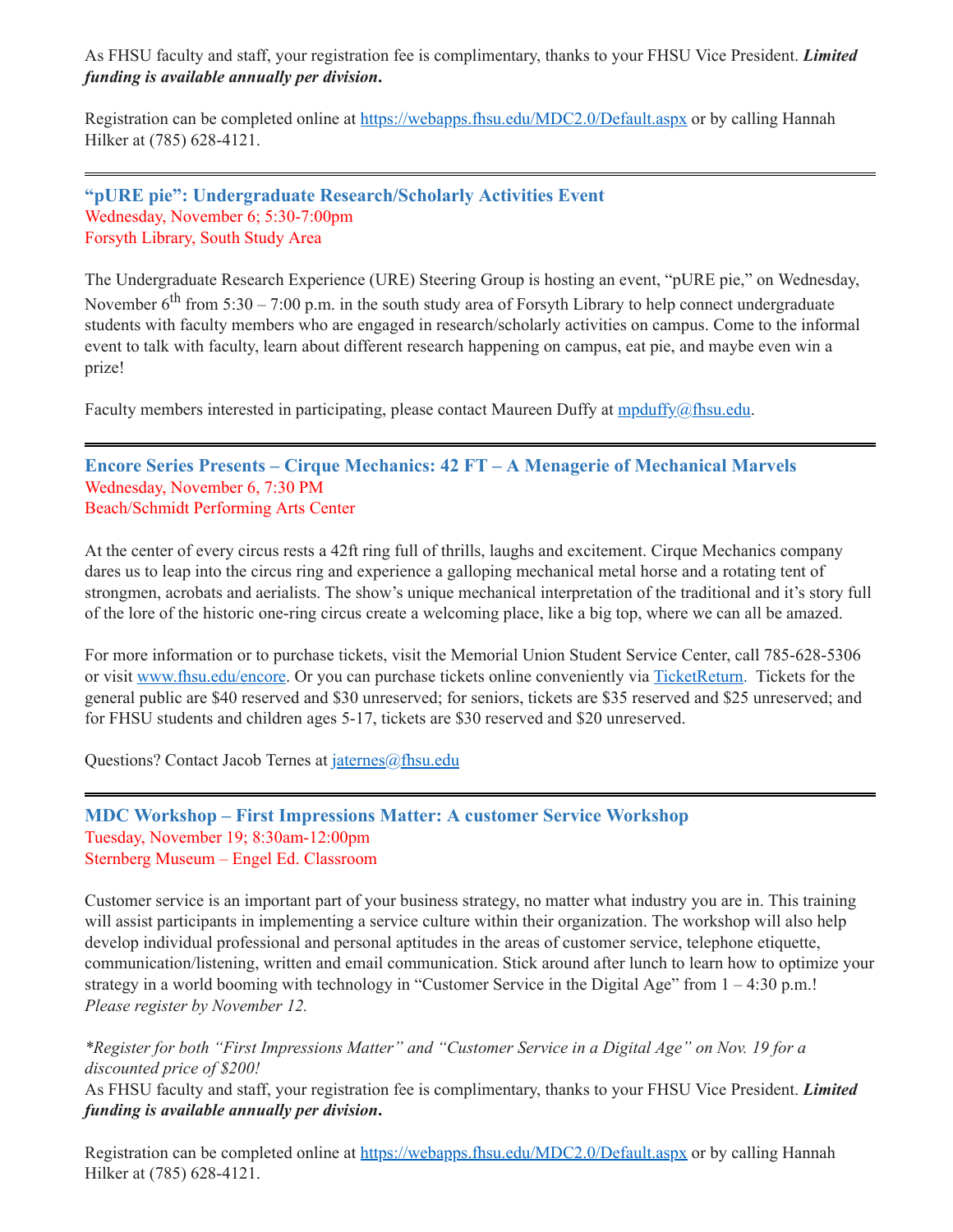As FHSU faculty and staff, your registration fee is complimentary, thanks to your FHSU Vice President. *Limited funding is available annually per division***.**

Registration can be completed online at <https://webapps.fhsu.edu/MDC2.0/Default.aspx> or by calling Hannah Hilker at (785) 628-4121.

<span id="page-11-0"></span>**"pURE pie": Undergraduate Research/Scholarly Activities Event** Wednesday, November 6; 5:30-7:00pm Forsyth Library, South Study Area

The Undergraduate Research Experience (URE) Steering Group is hosting an event, "pURE pie," on Wednesday, November  $6^{\text{th}}$  from 5:30 – 7:00 p.m. in the south study area of Forsyth Library to help connect undergraduate students with faculty members who are engaged in research/scholarly activities on campus. Come to the informal event to talk with faculty, learn about different research happening on campus, eat pie, and maybe even win a prize!

Faculty members interested in participating, please contact Maureen Duffy at [mpduffy@fhsu.edu.](mailto:mpduffy@fhsu.edu)

<span id="page-11-1"></span>**Encore Series Presents – Cirque Mechanics: 42 FT – A Menagerie of Mechanical Marvels** Wednesday, November 6, 7:30 PM Beach/Schmidt Performing Arts Center

At the center of every circus rests a 42ft ring full of thrills, laughs and excitement. Cirque Mechanics company dares us to leap into the circus ring and experience a galloping mechanical metal horse and a rotating tent of strongmen, acrobats and aerialists. The show's unique mechanical interpretation of the traditional and it's story full of the lore of the historic one-ring circus create a welcoming place, like a big top, where we can all be amazed.

For more information or to purchase tickets, visit the Memorial Union Student Service Center, call 785-628-5306 or visit [www.fhsu.edu/encore.](http://www.fhsu.edu/encore) Or you can purchase tickets online conveniently via [TicketReturn.](https://www.ticketreturn.com/prod2/team.asp?sponsorid=12794#.XbG3CJJKi70) Tickets for the general public are \$40 reserved and \$30 unreserved; for seniors, tickets are \$35 reserved and \$25 unreserved; and for FHSU students and children ages 5-17, tickets are \$30 reserved and \$20 unreserved.

Questions? Contact Jacob Ternes at [jaternes@fhsu.edu](mailto:jaternes@fhsu.edu)

#### <span id="page-11-2"></span>**MDC Workshop – First Impressions Matter: A customer Service Workshop** Tuesday, November 19; 8:30am-12:00pm Sternberg Museum – Engel Ed. Classroom

Customer service is an important part of your business strategy, no matter what industry you are in. This training will assist participants in implementing a service culture within their organization. The workshop will also help develop individual professional and personal aptitudes in the areas of customer service, telephone etiquette, communication/listening, written and email communication. Stick around after lunch to learn how to optimize your strategy in a world booming with technology in "Customer Service in the Digital Age" from  $1 - 4:30$  p.m.! *Please register by November 12.*

\*Register for both "First Impressions Matter" and "Customer Service in a Digital Age" on Nov. 19 for a *discounted price of \$200!*

As FHSU faculty and staff, your registration fee is complimentary, thanks to your FHSU Vice President. *Limited funding is available annually per division***.**

Registration can be completed online at <https://webapps.fhsu.edu/MDC2.0/Default.aspx> or by calling Hannah Hilker at (785) 628-4121.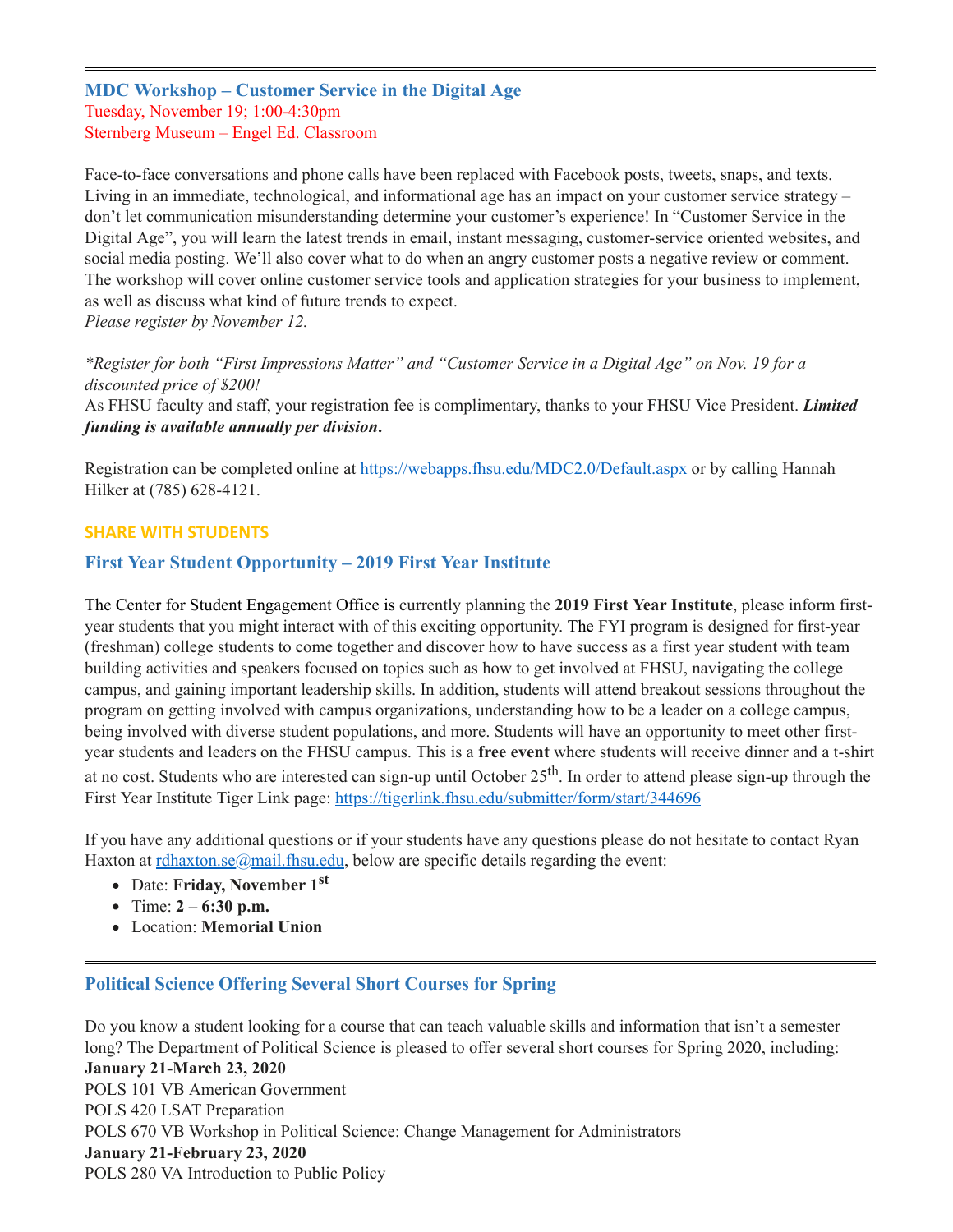**MDC Workshop – Customer Service in the Digital Age** Tuesday, November 19; 1:00-4:30pm Sternberg Museum – Engel Ed. Classroom

Face-to-face conversations and phone calls have been replaced with Facebook posts, tweets, snaps, and texts. Living in an immediate, technological, and informational age has an impact on your customer service strategy – don't let communication misunderstanding determine your customer's experience! In "Customer Service in the Digital Age", you will learn the latest trends in email, instant messaging, customer-service oriented websites, and social media posting. We'll also cover what to do when an angry customer posts a negative review or comment. The workshop will cover online customer service tools and application strategies for your business to implement, as well as discuss what kind of future trends to expect.

*Please register by November 12.*

\*Register for both "First Impressions Matter" and "Customer Service in a Digital Age" on Nov. 19 for a *discounted price of \$200!*

As FHSU faculty and staff, your registration fee is complimentary, thanks to your FHSU Vice President. *Limited funding is available annually per division***.**

Registration can be completed online at <https://webapps.fhsu.edu/MDC2.0/Default.aspx> or by calling Hannah Hilker at (785) 628-4121.

#### **SHARE WITH STUDENTS**

## <span id="page-12-0"></span>**First Year Student Opportunity – 2019 First Year Institute**

The Center for Student Engagement Office is currently planning the **2019 First Year Institute**, please inform firstyear students that you might interact with of this exciting opportunity. The FYI program is designed for first-year (freshman) college students to come together and discover how to have success as a first year student with team building activities and speakers focused on topics such as how to get involved at FHSU, navigating the college campus, and gaining important leadership skills. In addition, students will attend breakout sessions throughout the program on getting involved with campus organizations, understanding how to be a leader on a college campus, being involved with diverse student populations, and more. Students will have an opportunity to meet other firstyear students and leaders on the FHSU campus. This is a **free event** where students will receive dinner and a t-shirt at no cost. Students who are interested can sign-up until October 25<sup>th</sup>. In order to attend please sign-up through the First Year Institute Tiger Link page: <https://tigerlink.fhsu.edu/submitter/form/start/344696>

If you have any additional questions or if your students have any questions please do not hesitate to contact Ryan Haxton at [rdhaxton.se@mail.fhsu.edu](mailto:rdhaxton.se@mail.fhsu.edu), below are specific details regarding the event:

- Date: **Friday, November 1 st**
- Time: **2 – 6:30 p.m.**
- <span id="page-12-1"></span>Location: **Memorial Union**

#### **Political Science Offering Several Short Courses for Spring**

Do you know a student looking for a course that can teach valuable skills and information that isn't a semester long? The Department of Political Science is pleased to offer several short courses for Spring 2020, including: **January 21-March 23, 2020** POLS 101 VB American Government POLS 420 LSAT Preparation POLS 670 VB Workshop in Political Science: Change Management for Administrators **January 21-February 23, 2020** POLS 280 VA Introduction to Public Policy